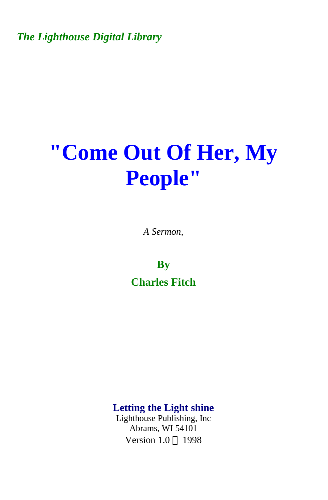*The Lighthouse Digital Library* 

# **"Come Out Of Her, My People"**

*A Sermon,* 

**By Charles Fitch** 

**Letting the Light shine** 

Lighthouse Publishing, Inc Abrams, WI 54101 Version  $1.0 \odot 1998$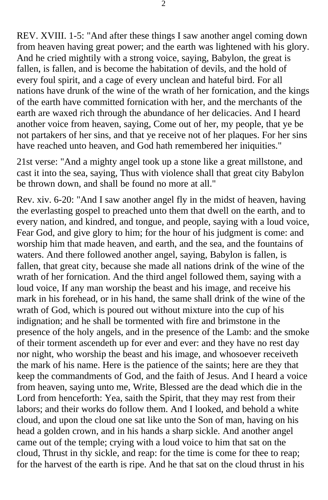REV. XVIII. 1-5: "And after these things I saw another angel coming down from heaven having great power; and the earth was lightened with his glory. And he cried mightily with a strong voice, saying, Babylon, the great is fallen, is fallen, and is become the habitation of devils, and the hold of every foul spirit, and a cage of every unclean and hateful bird. For all nations have drunk of the wine of the wrath of her fornication, and the kings of the earth have committed fornication with her, and the merchants of the earth are waxed rich through the abundance of her delicacies. And I heard another voice from heaven, saying, Come out of her, my people, that ye be not partakers of her sins, and that ye receive not of her plaques. For her sins have reached unto heaven, and God hath remembered her iniquities."

21st verse: "And a mighty angel took up a stone like a great millstone, and cast it into the sea, saying, Thus with violence shall that great city Babylon be thrown down, and shall be found no more at all."

Rev. xiv. 6-20: "And I saw another angel fly in the midst of heaven, having the everlasting gospel to preached unto them that dwell on the earth, and to every nation, and kindred, and tongue, and people, saying with a loud voice, Fear God, and give glory to him; for the hour of his judgment is come: and worship him that made heaven, and earth, and the sea, and the fountains of waters. And there followed another angel, saying, Babylon is fallen, is fallen, that great city, because she made all nations drink of the wine of the wrath of her fornication. And the third angel followed them, saying with a loud voice, If any man worship the beast and his image, and receive his mark in his forehead, or in his hand, the same shall drink of the wine of the wrath of God, which is poured out without mixture into the cup of his indignation; and he shall be tormented with fire and brimstone in the presence of the holy angels, and in the presence of the Lamb: and the smoke of their torment ascendeth up for ever and ever: and they have no rest day nor night, who worship the beast and his image, and whosoever receiveth the mark of his name. Here is the patience of the saints; here are they that keep the commandments of God, and the faith of Jesus. And I heard a voice from heaven, saying unto me, Write, Blessed are the dead which die in the Lord from henceforth: Yea, saith the Spirit, that they may rest from their labors; and their works do follow them. And I looked, and behold a white cloud, and upon the cloud one sat like unto the Son of man, having on his head a golden crown, and in his hands a sharp sickle. And another angel came out of the temple; crying with a loud voice to him that sat on the cloud, Thrust in thy sickle, and reap: for the time is come for thee to reap; for the harvest of the earth is ripe. And he that sat on the cloud thrust in his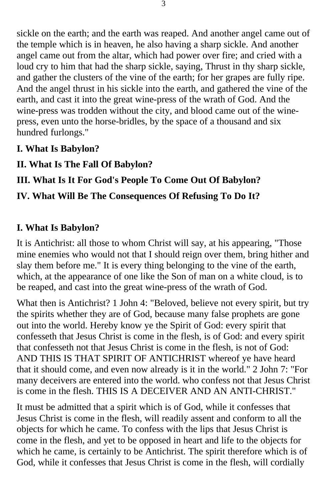sickle on the earth; and the earth was reaped. And another angel came out of the temple which is in heaven, he also having a sharp sickle. And another angel came out from the altar, which had power over fire; and cried with a loud cry to him that had the sharp sickle, saying, Thrust in thy sharp sickle, and gather the clusters of the vine of the earth; for her grapes are fully ripe. And the angel thrust in his sickle into the earth, and gathered the vine of the earth, and cast it into the great wine-press of the wrath of God. And the wine-press was trodden without the city, and blood came out of the winepress, even unto the horse-bridles, by the space of a thousand and six hundred furlongs."

- **I. What Is Babylon?**
- **II. What Is The Fall Of Babylon?**

## **III. What Is It For God's People To Come Out Of Babylon?**

## **IV. What Will Be The Consequences Of Refusing To Do It?**

### **I. What Is Babylon?**

It is Antichrist: all those to whom Christ will say, at his appearing, "Those mine enemies who would not that I should reign over them, bring hither and slay them before me." It is every thing belonging to the vine of the earth, which, at the appearance of one like the Son of man on a white cloud, is to be reaped, and cast into the great wine-press of the wrath of God.

What then is Antichrist? 1 John 4: "Beloved, believe not every spirit, but try the spirits whether they are of God, because many false prophets are gone out into the world. Hereby know ye the Spirit of God: every spirit that confesseth that Jesus Christ is come in the flesh, is of God: and every spirit that confesseth not that Jesus Christ is come in the flesh, is not of God: AND THIS IS THAT SPIRIT OF ANTICHRIST whereof ye have heard that it should come, and even now already is it in the world." 2 John 7: "For many deceivers are entered into the world. who confess not that Jesus Christ is come in the flesh. THIS IS A DECEIVER AND AN ANTI-CHRIST."

It must be admitted that a spirit which is of God, while it confesses that Jesus Christ is come in the flesh, will readily assent and conform to all the objects for which he came. To confess with the lips that Jesus Christ is come in the flesh, and yet to be opposed in heart and life to the objects for which he came, is certainly to be Antichrist. The spirit therefore which is of God, while it confesses that Jesus Christ is come in the flesh, will cordially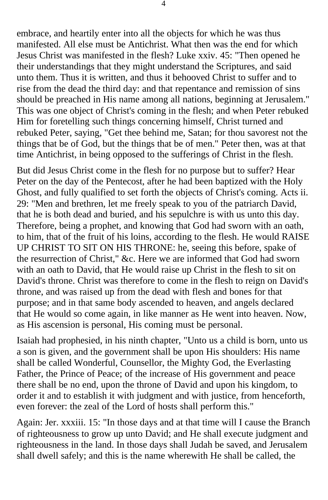embrace, and heartily enter into all the objects for which he was thus manifested. All else must be Antichrist. What then was the end for which Jesus Christ was manifested in the flesh? Luke xxiv. 45: "Then opened he their understandings that they might understand the Scriptures, and said unto them. Thus it is written, and thus it behooved Christ to suffer and to rise from the dead the third day: and that repentance and remission of sins should be preached in His name among all nations, beginning at Jerusalem." This was one object of Christ's coming in the flesh; and when Peter rebuked Him for foretelling such things concerning himself, Christ turned and rebuked Peter, saying, "Get thee behind me, Satan; for thou savorest not the things that be of God, but the things that be of men." Peter then, was at that time Antichrist, in being opposed to the sufferings of Christ in the flesh.

But did Jesus Christ come in the flesh for no purpose but to suffer? Hear Peter on the day of the Pentecost, after he had been baptized with the Holy Ghost, and fully qualified to set forth the objects of Christ's coming. Acts ii. 29: "Men and brethren, let me freely speak to you of the patriarch David, that he is both dead and buried, and his sepulchre is with us unto this day. Therefore, being a prophet, and knowing that God had sworn with an oath, to him, that of the fruit of his loins, according to the flesh. He would RAISE UP CHRIST TO SIT ON HIS THRONE: he, seeing this before, spake of the resurrection of Christ," &c. Here we are informed that God had sworn with an oath to David, that He would raise up Christ in the flesh to sit on David's throne. Christ was therefore to come in the flesh to reign on David's throne, and was raised up from the dead with flesh and bones for that purpose; and in that same body ascended to heaven, and angels declared that He would so come again, in like manner as He went into heaven. Now, as His ascension is personal, His coming must be personal.

Isaiah had prophesied, in his ninth chapter, "Unto us a child is born, unto us a son is given, and the government shall be upon His shoulders: His name shall be called Wonderful, Counsellor, the Mighty God, the Everlasting Father, the Prince of Peace; of the increase of His government and peace there shall be no end, upon the throne of David and upon his kingdom, to order it and to establish it with judgment and with justice, from henceforth, even forever: the zeal of the Lord of hosts shall perform this."

Again: Jer. xxxiii. 15: "In those days and at that time will I cause the Branch of righteousness to grow up unto David; and He shall execute judgment and righteousness in the land. In those days shall Judah be saved, and Jerusalem shall dwell safely; and this is the name wherewith He shall be called, the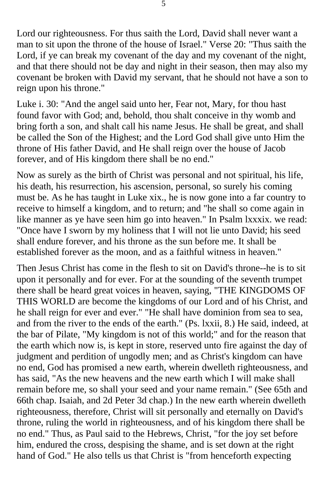Lord our righteousness. For thus saith the Lord, David shall never want a man to sit upon the throne of the house of Israel." Verse 20: "Thus saith the Lord, if ye can break my covenant of the day and my covenant of the night, and that there should not be day and night in their season, then may also my covenant be broken with David my servant, that he should not have a son to reign upon his throne."

Luke i. 30: "And the angel said unto her, Fear not, Mary, for thou hast found favor with God; and, behold, thou shalt conceive in thy womb and bring forth a son, and shalt call his name Jesus. He shall be great, and shall be called the Son of the Highest; and the Lord God shall give unto Him the throne of His father David, and He shall reign over the house of Jacob forever, and of His kingdom there shall be no end."

Now as surely as the birth of Christ was personal and not spiritual, his life, his death, his resurrection, his ascension, personal, so surely his coming must be. As he has taught in Luke xix., he is now gone into a far country to receive to himself a kingdom, and to return; and "he shall so come again in like manner as ye have seen him go into heaven." In Psalm lxxxix. we read: "Once have I sworn by my holiness that I will not lie unto David; his seed shall endure forever, and his throne as the sun before me. It shall be established forever as the moon, and as a faithful witness in heaven."

Then Jesus Christ has come in the flesh to sit on David's throne--he is to sit upon it personally and for ever. For at the sounding of the seventh trumpet there shall be heard great voices in heaven, saying, "THE KINGDOMS OF THIS WORLD are become the kingdoms of our Lord and of his Christ, and he shall reign for ever and ever." "He shall have dominion from sea to sea, and from the river to the ends of the earth." (Ps. lxxii, 8.) He said, indeed, at the bar of Pilate, "My kingdom is not of this world;" and for the reason that the earth which now is, is kept in store, reserved unto fire against the day of judgment and perdition of ungodly men; and as Christ's kingdom can have no end, God has promised a new earth, wherein dwelleth righteousness, and has said, "As the new heavens and the new earth which I will make shall remain before me, so shall your seed and your name remain." (See 65th and 66th chap. Isaiah, and 2d Peter 3d chap.) In the new earth wherein dwelleth righteousness, therefore, Christ will sit personally and eternally on David's throne, ruling the world in righteousness, and of his kingdom there shall be no end." Thus, as Paul said to the Hebrews, Christ, "for the joy set before him, endured the cross, despising the shame, and is set down at the right hand of God." He also tells us that Christ is "from henceforth expecting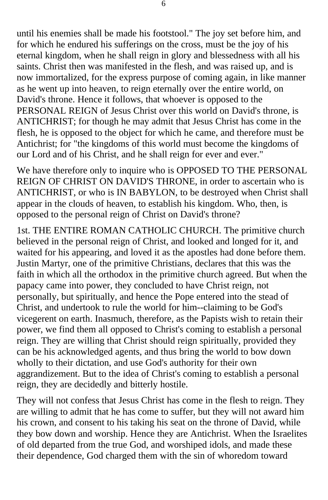until his enemies shall be made his footstool." The joy set before him, and for which he endured his sufferings on the cross, must be the joy of his eternal kingdom, when he shall reign in glory and blessedness with all his saints. Christ then was manifested in the flesh, and was raised up, and is now immortalized, for the express purpose of coming again, in like manner as he went up into heaven, to reign eternally over the entire world, on David's throne. Hence it follows, that whoever is opposed to the PERSONAL REIGN of Jesus Christ over this world on David's throne, is ANTICHRIST; for though he may admit that Jesus Christ has come in the flesh, he is opposed to the object for which he came, and therefore must be Antichrist; for "the kingdoms of this world must become the kingdoms of our Lord and of his Christ, and he shall reign for ever and ever."

We have therefore only to inquire who is OPPOSED TO THE PERSONAL REIGN OF CHRIST ON DAVID'S THRONE, in order to ascertain who is ANTICHRIST, or who is IN BABYLON, to be destroyed when Christ shall appear in the clouds of heaven, to establish his kingdom. Who, then, is opposed to the personal reign of Christ on David's throne?

1st. THE ENTIRE ROMAN CATHOLIC CHURCH. The primitive church believed in the personal reign of Christ, and looked and longed for it, and waited for his appearing, and loved it as the apostles had done before them. Justin Martyr, one of the primitive Christians, declares that this was the faith in which all the orthodox in the primitive church agreed. But when the papacy came into power, they concluded to have Christ reign, not personally, but spiritually, and hence the Pope entered into the stead of Christ, and undertook to rule the world for him--claiming to be God's vicegerent on earth. Inasmuch, therefore, as the Papists wish to retain their power, we find them all opposed to Christ's coming to establish a personal reign. They are willing that Christ should reign spiritually, provided they can be his acknowledged agents, and thus bring the world to bow down wholly to their dictation, and use God's authority for their own aggrandizement. But to the idea of Christ's coming to establish a personal reign, they are decidedly and bitterly hostile.

They will not confess that Jesus Christ has come in the flesh to reign. They are willing to admit that he has come to suffer, but they will not award him his crown, and consent to his taking his seat on the throne of David, while they bow down and worship. Hence they are Antichrist. When the Israelites of old departed from the true God, and worshiped idols, and made these their dependence, God charged them with the sin of whoredom toward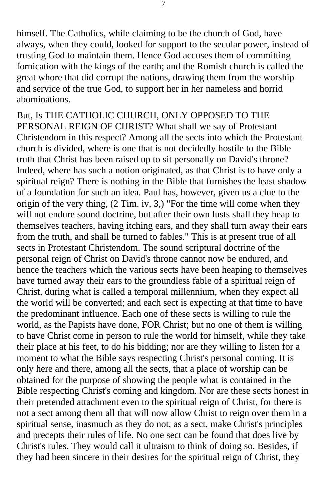himself. The Catholics, while claiming to be the church of God, have always, when they could, looked for support to the secular power, instead of trusting God to maintain them. Hence God accuses them of committing fornication with the kings of the earth; and the Romish church is called the great whore that did corrupt the nations, drawing them from the worship and service of the true God, to support her in her nameless and horrid abominations.

But, Is THE CATHOLIC CHURCH, ONLY OPPOSED TO THE PERSONAL REIGN OF CHRIST? What shall we say of Protestant Christendom in this respect? Among all the sects into which the Protestant church is divided, where is one that is not decidedly hostile to the Bible truth that Christ has been raised up to sit personally on David's throne? Indeed, where has such a notion originated, as that Christ is to have only a spiritual reign? There is nothing in the Bible that furnishes the least shadow of a foundation for such an idea. Paul has, however, given us a clue to the origin of the very thing, (2 Tim. iv, 3,) "For the time will come when they will not endure sound doctrine, but after their own lusts shall they heap to themselves teachers, having itching ears, and they shall turn away their ears from the truth, and shall be turned to fables." This is at present true of all sects in Protestant Christendom. The sound scriptural doctrine of the personal reign of Christ on David's throne cannot now be endured, and hence the teachers which the various sects have been heaping to themselves have turned away their ears to the groundless fable of a spiritual reign of Christ, during what is called a temporal millennium, when they expect all the world will be converted; and each sect is expecting at that time to have the predominant influence. Each one of these sects is willing to rule the world, as the Papists have done, FOR Christ; but no one of them is willing to have Christ come in person to rule the world for himself, while they take their place at his feet, to do his bidding; nor are they willing to listen for a moment to what the Bible says respecting Christ's personal coming. It is only here and there, among all the sects, that a place of worship can be obtained for the purpose of showing the people what is contained in the Bible respecting Christ's coming and kingdom. Nor are these sects honest in their pretended attachment even to the spiritual reign of Christ, for there is not a sect among them all that will now allow Christ to reign over them in a spiritual sense, inasmuch as they do not, as a sect, make Christ's principles and precepts their rules of life. No one sect can be found that does live by Christ's rules. They would call it ultraism to think of doing so. Besides, if they had been sincere in their desires for the spiritual reign of Christ, they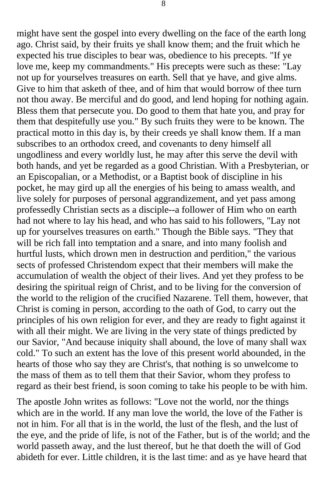might have sent the gospel into every dwelling on the face of the earth long ago. Christ said, by their fruits ye shall know them; and the fruit which he expected his true disciples to bear was, obedience to his precepts. "If ye love me, keep my commandments." His precepts were such as these: "Lay not up for yourselves treasures on earth. Sell that ye have, and give alms. Give to him that asketh of thee, and of him that would borrow of thee turn not thou away. Be merciful and do good, and lend hoping for nothing again. Bless them that persecute you. Do good to them that hate you, and pray for them that despitefully use you." By such fruits they were to be known. The practical motto in this day is, by their creeds ye shall know them. If a man subscribes to an orthodox creed, and covenants to deny himself all ungodliness and every worldly lust, he may after this serve the devil with both hands, and yet be regarded as a good Christian. With a Presbyterian, or an Episcopalian, or a Methodist, or a Baptist book of discipline in his pocket, he may gird up all the energies of his being to amass wealth, and live solely for purposes of personal aggrandizement, and yet pass among professedly Christian sects as a disciple--a follower of Him who on earth had not where to lay his head, and who has said to his followers, "Lay not up for yourselves treasures on earth." Though the Bible says. "They that will be rich fall into temptation and a snare, and into many foolish and hurtful lusts, which drown men in destruction and perdition," the various sects of professed Christendom expect that their members will make the accumulation of wealth the object of their lives. And yet they profess to be desiring the spiritual reign of Christ, and to be living for the conversion of the world to the religion of the crucified Nazarene. Tell them, however, that Christ is coming in person, according to the oath of God, to carry out the principles of his own religion for ever, and they are ready to fight against it with all their might. We are living in the very state of things predicted by our Savior, "And because iniquity shall abound, the love of many shall wax cold." To such an extent has the love of this present world abounded, in the hearts of those who say they are Christ's, that nothing is so unwelcome to the mass of them as to tell them that their Savior, whom they profess to regard as their best friend, is soon coming to take his people to be with him.

The apostle John writes as follows: "Love not the world, nor the things which are in the world. If any man love the world, the love of the Father is not in him. For all that is in the world, the lust of the flesh, and the lust of the eye, and the pride of life, is not of the Father, but is of the world; and the world passeth away, and the lust thereof, but he that doeth the will of God abideth for ever. Little children, it is the last time: and as ye have heard that

8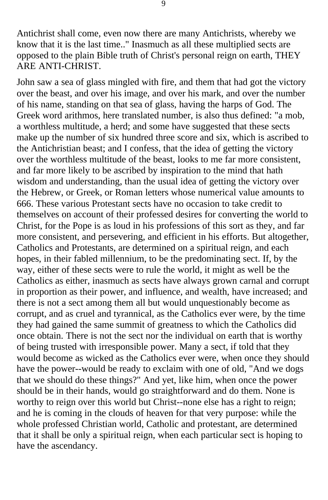Antichrist shall come, even now there are many Antichrists, whereby we know that it is the last time.." Inasmuch as all these multiplied sects are opposed to the plain Bible truth of Christ's personal reign on earth, THEY ARE ANTI-CHRIST.

John saw a sea of glass mingled with fire, and them that had got the victory over the beast, and over his image, and over his mark, and over the number of his name, standing on that sea of glass, having the harps of God. The Greek word arithmos, here translated number, is also thus defined: "a mob, a worthless multitude, a herd; and some have suggested that these sects make up the number of six hundred three score and six, which is ascribed to the Antichristian beast; and I confess, that the idea of getting the victory over the worthless multitude of the beast, looks to me far more consistent, and far more likely to be ascribed by inspiration to the mind that hath wisdom and understanding, than the usual idea of getting the victory over the Hebrew, or Greek, or Roman letters whose numerical value amounts to 666. These various Protestant sects have no occasion to take credit to themselves on account of their professed desires for converting the world to Christ, for the Pope is as loud in his professions of this sort as they, and far more consistent, and persevering, and efficient in his efforts. But altogether, Catholics and Protestants, are determined on a spiritual reign, and each hopes, in their fabled millennium, to be the predominating sect. If, by the way, either of these sects were to rule the world, it might as well be the Catholics as either, inasmuch as sects have always grown carnal and corrupt in proportion as their power, and influence, and wealth, have increased; and there is not a sect among them all but would unquestionably become as corrupt, and as cruel and tyrannical, as the Catholics ever were, by the time they had gained the same summit of greatness to which the Catholics did once obtain. There is not the sect nor the individual on earth that is worthy of being trusted with irresponsible power. Many a sect, if told that they would become as wicked as the Catholics ever were, when once they should have the power--would be ready to exclaim with one of old, "And we dogs that we should do these things?" And yet, like him, when once the power should be in their hands, would go straightforward and do them. None is worthy to reign over this world but Christ--none else has a right to reign; and he is coming in the clouds of heaven for that very purpose: while the whole professed Christian world, Catholic and protestant, are determined that it shall be only a spiritual reign, when each particular sect is hoping to have the ascendancy.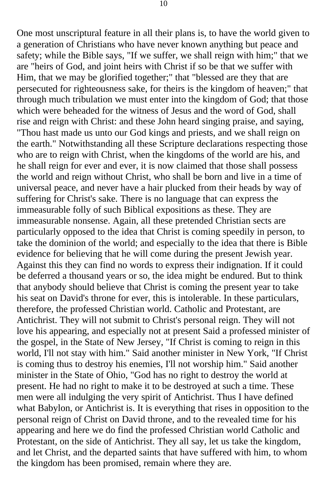One most unscriptural feature in all their plans is, to have the world given to a generation of Christians who have never known anything but peace and safety; while the Bible says, "If we suffer, we shall reign with him;" that we are "heirs of God, and joint heirs with Christ if so be that we suffer with Him, that we may be glorified together;" that "blessed are they that are persecuted for righteousness sake, for theirs is the kingdom of heaven;" that through much tribulation we must enter into the kingdom of God; that those which were beheaded for the witness of Jesus and the word of God, shall rise and reign with Christ: and these John heard singing praise, and saying, "Thou hast made us unto our God kings and priests, and we shall reign on the earth." Notwithstanding all these Scripture declarations respecting those who are to reign with Christ, when the kingdoms of the world are his, and he shall reign for ever and ever, it is now claimed that those shall possess the world and reign without Christ, who shall be born and live in a time of universal peace, and never have a hair plucked from their heads by way of suffering for Christ's sake. There is no language that can express the immeasurable folly of such Biblical expositions as these. They are immeasurable nonsense. Again, all these pretended Christian sects are particularly opposed to the idea that Christ is coming speedily in person, to take the dominion of the world; and especially to the idea that there is Bible evidence for believing that he will come during the present Jewish year. Against this they can find no words to express their indignation. If it could be deferred a thousand years or so, the idea might be endured. But to think that anybody should believe that Christ is coming the present year to take his seat on David's throne for ever, this is intolerable. In these particulars, therefore, the professed Christian world. Catholic and Protestant, are Antichrist. They will not submit to Christ's personal reign. They will not love his appearing, and especially not at present Said a professed minister of the gospel, in the State of New Jersey, "If Christ is coming to reign in this world, I'll not stay with him." Said another minister in New York, "If Christ is coming thus to destroy his enemies, I'll not worship him." Said another minister in the State of Ohio, "God has no right to destroy the world at present. He had no right to make it to be destroyed at such a time. These men were all indulging the very spirit of Antichrist. Thus I have defined what Babylon, or Antichrist is. It is everything that rises in opposition to the personal reign of Christ on David throne, and to the revealed time for his appearing and here we do find the professed Christian world Catholic and Protestant, on the side of Antichrist. They all say, let us take the kingdom, and let Christ, and the departed saints that have suffered with him, to whom the kingdom has been promised, remain where they are.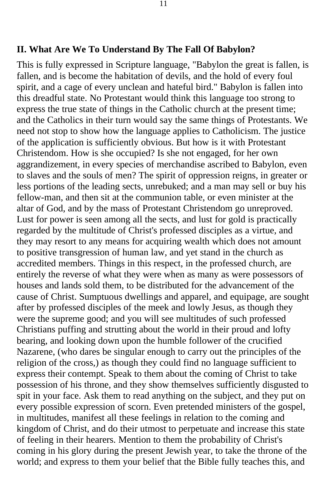#### **II. What Are We To Understand By The Fall Of Babylon?**

This is fully expressed in Scripture language, "Babylon the great is fallen, is fallen, and is become the habitation of devils, and the hold of every foul spirit, and a cage of every unclean and hateful bird." Babylon is fallen into this dreadful state. No Protestant would think this language too strong to express the true state of things in the Catholic church at the present time; and the Catholics in their turn would say the same things of Protestants. We need not stop to show how the language applies to Catholicism. The justice of the application is sufficiently obvious. But how is it with Protestant Christendom. How is she occupied? Is she not engaged, for her own aggrandizement, in every species of merchandise ascribed to Babylon, even to slaves and the souls of men? The spirit of oppression reigns, in greater or less portions of the leading sects, unrebuked; and a man may sell or buy his fellow-man, and then sit at the communion table, or even minister at the altar of God, and by the mass of Protestant Christendom go unreproved. Lust for power is seen among all the sects, and lust for gold is practically regarded by the multitude of Christ's professed disciples as a virtue, and they may resort to any means for acquiring wealth which does not amount to positive transgression of human law, and yet stand in the church as accredited members. Things in this respect, in the professed church, are entirely the reverse of what they were when as many as were possessors of houses and lands sold them, to be distributed for the advancement of the cause of Christ. Sumptuous dwellings and apparel, and equipage, are sought after by professed disciples of the meek and lowly Jesus, as though they were the supreme good; and you will see multitudes of such professed Christians puffing and strutting about the world in their proud and lofty bearing, and looking down upon the humble follower of the crucified Nazarene, (who dares be singular enough to carry out the principles of the religion of the cross,) as though they could find no language sufficient to express their contempt. Speak to them about the coming of Christ to take possession of his throne, and they show themselves sufficiently disgusted to spit in your face. Ask them to read anything on the subject, and they put on every possible expression of scorn. Even pretended ministers of the gospel, in multitudes, manifest all these feelings in relation to the coming and kingdom of Christ, and do their utmost to perpetuate and increase this state of feeling in their hearers. Mention to them the probability of Christ's coming in his glory during the present Jewish year, to take the throne of the world; and express to them your belief that the Bible fully teaches this, and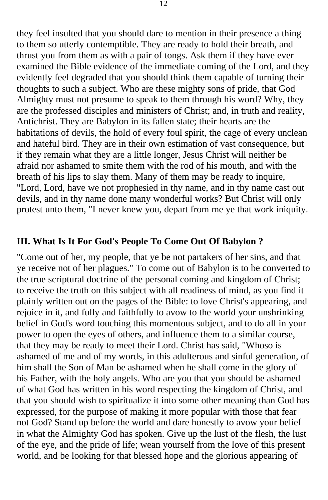they feel insulted that you should dare to mention in their presence a thing to them so utterly contemptible. They are ready to hold their breath, and thrust you from them as with a pair of tongs. Ask them if they have ever examined the Bible evidence of the immediate coming of the Lord, and they evidently feel degraded that you should think them capable of turning their thoughts to such a subject. Who are these mighty sons of pride, that God Almighty must not presume to speak to them through his word? Why, they are the professed disciples and ministers of Christ; and, in truth and reality, Antichrist. They are Babylon in its fallen state; their hearts are the habitations of devils, the hold of every foul spirit, the cage of every unclean and hateful bird. They are in their own estimation of vast consequence, but if they remain what they are a little longer, Jesus Christ will neither be afraid nor ashamed to smite them with the rod of his mouth, and with the breath of his lips to slay them. Many of them may be ready to inquire, "Lord, Lord, have we not prophesied in thy name, and in thy name cast out devils, and in thy name done many wonderful works? But Christ will only protest unto them, "I never knew you, depart from me ye that work iniquity.

#### **III. What Is It For God's People To Come Out Of Babylon ?**

"Come out of her, my people, that ye be not partakers of her sins, and that ye receive not of her plagues." To come out of Babylon is to be converted to the true scriptural doctrine of the personal coming and kingdom of Christ; to receive the truth on this subject with all readiness of mind, as you find it plainly written out on the pages of the Bible: to love Christ's appearing, and rejoice in it, and fully and faithfully to avow to the world your unshrinking belief in God's word touching this momentous subject, and to do all in your power to open the eyes of others, and influence them to a similar course, that they may be ready to meet their Lord. Christ has said, "Whoso is ashamed of me and of my words, in this adulterous and sinful generation, of him shall the Son of Man be ashamed when he shall come in the glory of his Father, with the holy angels. Who are you that you should be ashamed of what God has written in his word respecting the kingdom of Christ, and that you should wish to spiritualize it into some other meaning than God has expressed, for the purpose of making it more popular with those that fear not God? Stand up before the world and dare honestly to avow your belief in what the Almighty God has spoken. Give up the lust of the flesh, the lust of the eye, and the pride of life; wean yourself from the love of this present world, and be looking for that blessed hope and the glorious appearing of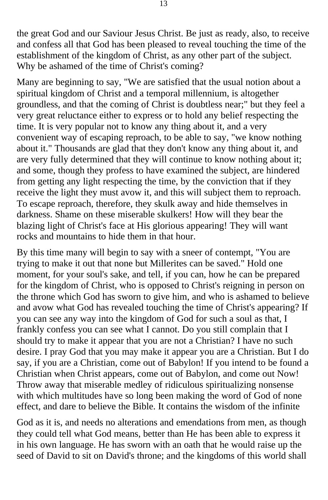the great God and our Saviour Jesus Christ. Be just as ready, also, to receive and confess all that God has been pleased to reveal touching the time of the establishment of the kingdom of Christ, as any other part of the subject. Why be ashamed of the time of Christ's coming?

Many are beginning to say, "We are satisfied that the usual notion about a spiritual kingdom of Christ and a temporal millennium, is altogether groundless, and that the coming of Christ is doubtless near;" but they feel a very great reluctance either to express or to hold any belief respecting the time. It is very popular not to know any thing about it, and a very convenient way of escaping reproach, to be able to say, "we know nothing about it." Thousands are glad that they don't know any thing about it, and are very fully determined that they will continue to know nothing about it; and some, though they profess to have examined the subject, are hindered from getting any light respecting the time, by the conviction that if they receive the light they must avow it, and this will subject them to reproach. To escape reproach, therefore, they skulk away and hide themselves in darkness. Shame on these miserable skulkers! How will they bear the blazing light of Christ's face at His glorious appearing! They will want rocks and mountains to hide them in that hour.

By this time many will begin to say with a sneer of contempt, "You are trying to make it out that none but Millerites can be saved." Hold one moment, for your soul's sake, and tell, if you can, how he can be prepared for the kingdom of Christ, who is opposed to Christ's reigning in person on the throne which God has sworn to give him, and who is ashamed to believe and avow what God has revealed touching the time of Christ's appearing? If you can see any way into the kingdom of God for such a soul as that, I frankly confess you can see what I cannot. Do you still complain that I should try to make it appear that you are not a Christian? I have no such desire. I pray God that you may make it appear you are a Christian. But I do say, if you are a Christian, come out of Babylon! If you intend to be found a Christian when Christ appears, come out of Babylon, and come out Now! Throw away that miserable medley of ridiculous spiritualizing nonsense with which multitudes have so long been making the word of God of none effect, and dare to believe the Bible. It contains the wisdom of the infinite

God as it is, and needs no alterations and emendations from men, as though they could tell what God means, better than He has been able to express it in his own language. He has sworn with an oath that he would raise up the seed of David to sit on David's throne; and the kingdoms of this world shall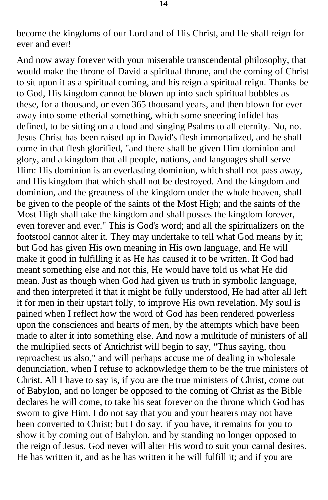become the kingdoms of our Lord and of His Christ, and He shall reign for ever and ever!

And now away forever with your miserable transcendental philosophy, that would make the throne of David a spiritual throne, and the coming of Christ to sit upon it as a spiritual coming, and his reign a spiritual reign. Thanks be to God, His kingdom cannot be blown up into such spiritual bubbles as these, for a thousand, or even 365 thousand years, and then blown for ever away into some etherial something, which some sneering infidel has defined, to be sitting on a cloud and singing Psalms to all eternity. No, no. Jesus Christ has been raised up in David's flesh immortalized, and he shall come in that flesh glorified, "and there shall be given Him dominion and glory, and a kingdom that all people, nations, and languages shall serve Him: His dominion is an everlasting dominion, which shall not pass away, and His kingdom that which shall not be destroyed. And the kingdom and dominion, and the greatness of the kingdom under the whole heaven, shall be given to the people of the saints of the Most High; and the saints of the Most High shall take the kingdom and shall posses the kingdom forever, even forever and ever." This is God's word; and all the spiritualizers on the footstool cannot alter it. They may undertake to tell what God means by it; but God has given His own meaning in His own language, and He will make it good in fulfilling it as He has caused it to be written. If God had meant something else and not this, He would have told us what He did mean. Just as though when God had given us truth in symbolic language, and then interpreted it that it might be fully understood, He had after all left it for men in their upstart folly, to improve His own revelation. My soul is pained when I reflect how the word of God has been rendered powerless upon the consciences and hearts of men, by the attempts which have been made to alter it into something else. And now a multitude of ministers of all the multiplied sects of Antichrist will begin to say, "Thus saying, thou reproachest us also," and will perhaps accuse me of dealing in wholesale denunciation, when I refuse to acknowledge them to be the true ministers of Christ. All I have to say is, if you are the true ministers of Christ, come out of Babylon, and no longer be opposed to the coming of Christ as the Bible declares he will come, to take his seat forever on the throne which God has sworn to give Him. I do not say that you and your hearers may not have been converted to Christ; but I do say, if you have, it remains for you to show it by coming out of Babylon, and by standing no longer opposed to the reign of Jesus. God never will alter His word to suit your carnal desires. He has written it, and as he has written it he will fulfill it; and if you are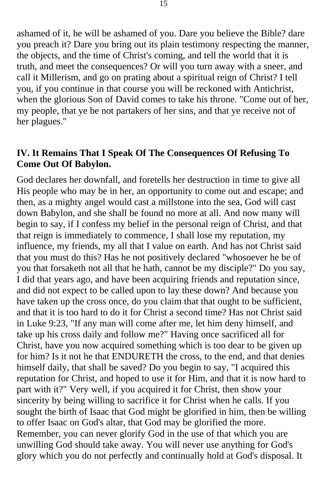ashamed of it, he will be ashamed of you. Dare you believe the Bible? dare you preach it? Dare you bring out its plain testimony respecting the manner, the objects, and the time of Christ's coming, and tell the world that it is truth, and meet the consequences? Or will you turn away with a sneer, and call it Millerism, and go on prating about a spiritual reign of Christ? I tell you, if you continue in that course you will be reckoned with Antichrist, when the glorious Son of David comes to take his throne. "Come out of her, my people, that ye be not partakers of her sins, and that ye receive not of her plagues."

#### **IV. It Remains That I Speak Of The Consequences Of Refusing To Come Out Of Babylon.**

God declares her downfall, and foretells her destruction in time to give all His people who may be in her, an opportunity to come out and escape; and then, as a mighty angel would cast a millstone into the sea, God will cast down Babylon, and she shall be found no more at all. And now many will begin to say, if I confess my belief in the personal reign of Christ, and that that reign is immediately to commence, I shall lose my reputation, my influence, my friends, my all that I value on earth. And has not Christ said that you must do this? Has he not positively declared "whosoever he be of you that forsaketh not all that he hath, cannot be my disciple?" Do you say, I did that years ago, and have been acquiring friends and reputation since, and did not expect to be called upon to lay these down? And because you have taken up the cross once, do you claim that that ought to be sufficient, and that it is too hard to do it for Christ a second time? Has not Christ said in Luke 9:23, "If any man will come after me, let him deny himself, and take up his cross daily and follow me?" Having once sacrificed all for Christ, have you now acquired something which is too dear to be given up for him? Is it not he that ENDURETH the cross, to the end, and that denies himself daily, that shall be saved? Do you begin to say, "I acquired this reputation for Christ, and hoped to use it for Him, and that it is now hard to part with it?" Very well, if you acquired it for Christ, then show your sincerity by being willing to sacrifice it for Christ when he calls. If you sought the birth of Isaac that God might be glorified in him, then be willing to offer Isaac on God's altar, that God may be glorified the more. Remember, you can never glorify God in the use of that which you are unwilling God should take away. You will never use anything for God's glory which you do not perfectly and continually hold at God's disposal. It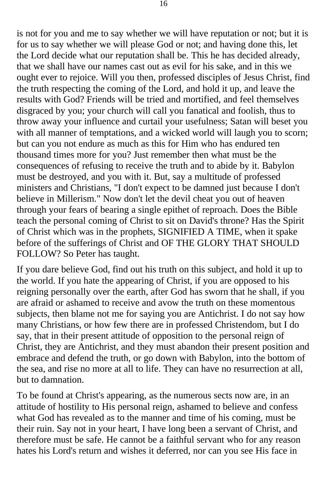is not for you and me to say whether we will have reputation or not; but it is for us to say whether we will please God or not; and having done this, let the Lord decide what our reputation shall be. This he has decided already, that we shall have our names cast out as evil for his sake, and in this we ought ever to rejoice. Will you then, professed disciples of Jesus Christ, find the truth respecting the coming of the Lord, and hold it up, and leave the results with God? Friends will be tried and mortified, and feel themselves disgraced by you; your church will call you fanatical and foolish, thus to throw away your influence and curtail your usefulness; Satan will beset you with all manner of temptations, and a wicked world will laugh you to scorn; but can you not endure as much as this for Him who has endured ten thousand times more for you? Just remember then what must be the consequences of refusing to receive the truth and to abide by it. Babylon must be destroyed, and you with it. But, say a multitude of professed ministers and Christians, "I don't expect to be damned just because I don't believe in Millerism." Now don't let the devil cheat you out of heaven through your fears of bearing a single epithet of reproach. Does the Bible teach the personal coming of Christ to sit on David's throne? Has the Spirit of Christ which was in the prophets, SIGNIFIED A TIME, when it spake before of the sufferings of Christ and OF THE GLORY THAT SHOULD FOLLOW? So Peter has taught.

If you dare believe God, find out his truth on this subject, and hold it up to the world. If you hate the appearing of Christ, if you are opposed to his reigning personally over the earth, after God has sworn that he shall, if you are afraid or ashamed to receive and avow the truth on these momentous subjects, then blame not me for saying you are Antichrist. I do not say how many Christians, or how few there are in professed Christendom, but I do say, that in their present attitude of opposition to the personal reign of Christ, they are Antichrist, and they must abandon their present position and embrace and defend the truth, or go down with Babylon, into the bottom of the sea, and rise no more at all to life. They can have no resurrection at all, but to damnation.

To be found at Christ's appearing, as the numerous sects now are, in an attitude of hostility to His personal reign, ashamed to believe and confess what God has revealed as to the manner and time of his coming, must be their ruin. Say not in your heart, I have long been a servant of Christ, and therefore must be safe. He cannot be a faithful servant who for any reason hates his Lord's return and wishes it deferred, nor can you see His face in